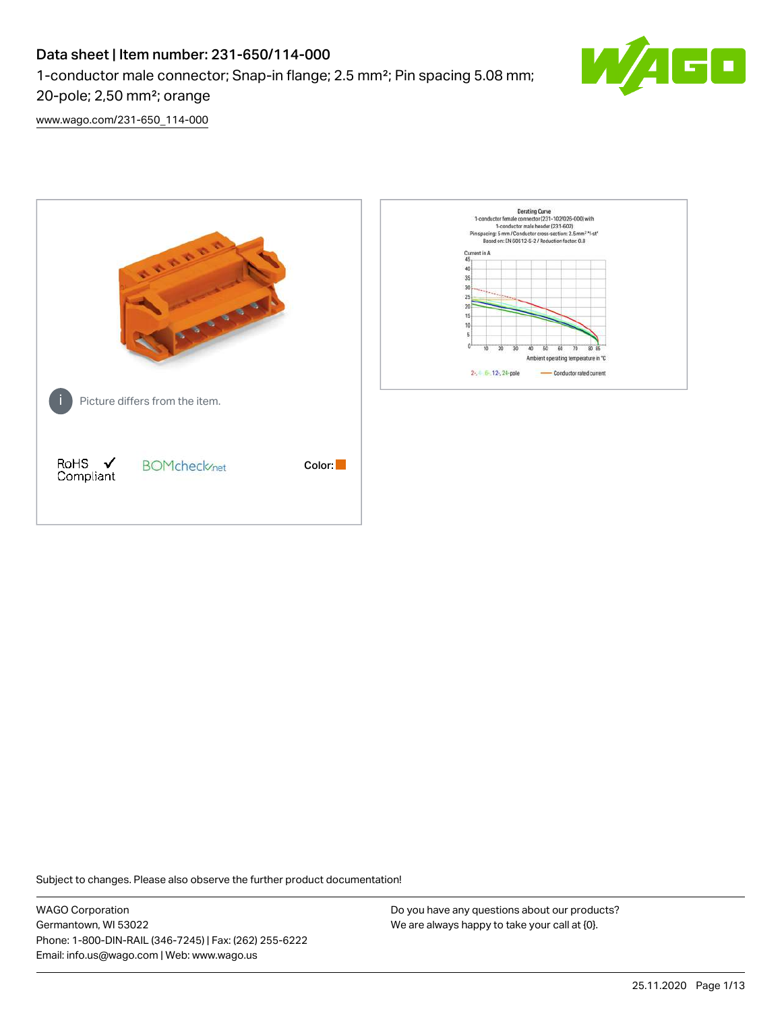1-conductor male connector; Snap-in flange; 2.5 mm²; Pin spacing 5.08 mm;



20-pole; 2,50 mm²; orange [www.wago.com/231-650\\_114-000](http://www.wago.com/231-650_114-000)



Subject to changes. Please also observe the further product documentation!

WAGO Corporation Germantown, WI 53022 Phone: 1-800-DIN-RAIL (346-7245) | Fax: (262) 255-6222 Email: info.us@wago.com | Web: www.wago.us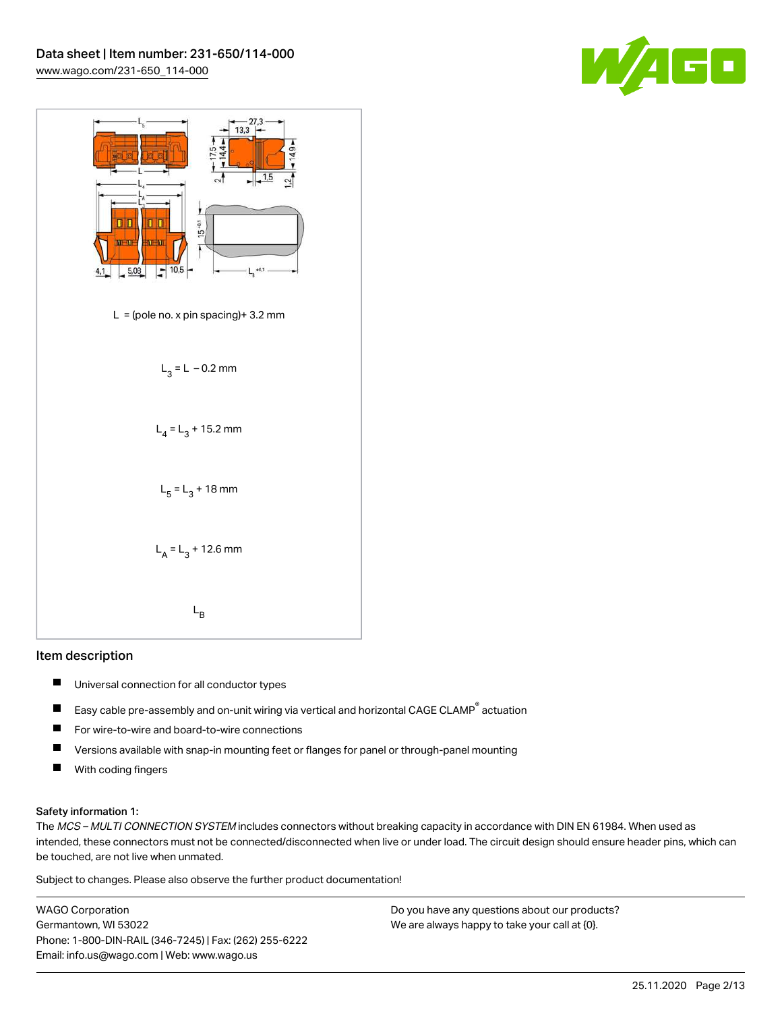



#### Item description

- П Universal connection for all conductor types
- Easy cable pre-assembly and on-unit wiring via vertical and horizontal CAGE CLAMP<sup>®</sup> actuation  $\blacksquare$
- П For wire-to-wire and board-to-wire connections
- П Versions available with snap-in mounting feet or flanges for panel or through-panel mounting
- $\blacksquare$ With coding fingers

#### Safety information 1:

The MCS - MULTI CONNECTION SYSTEM includes connectors without breaking capacity in accordance with DIN EN 61984. When used as intended, these connectors must not be connected/disconnected when live or under load. The circuit design should ensure header pins, which can be touched, are not live when unmated.

Subject to changes. Please also observe the further product documentation!

WAGO Corporation Germantown, WI 53022 Phone: 1-800-DIN-RAIL (346-7245) | Fax: (262) 255-6222 Email: info.us@wago.com | Web: www.wago.us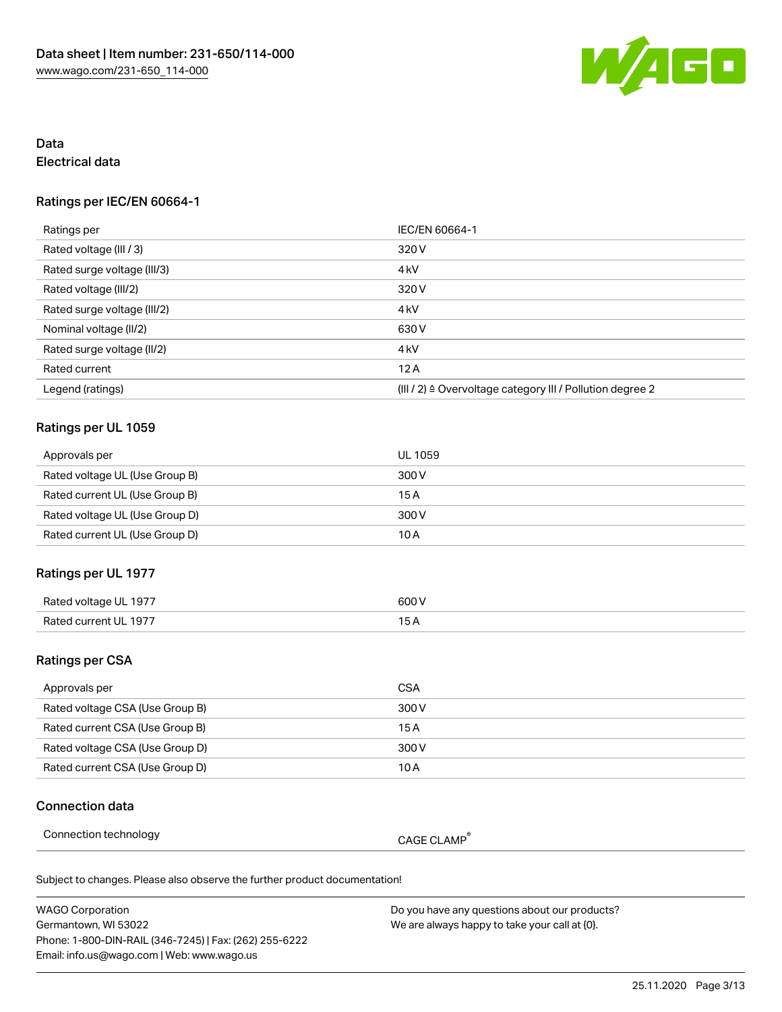

## Data Electrical data

### Ratings per IEC/EN 60664-1

| Ratings per                 | IEC/EN 60664-1                                                        |
|-----------------------------|-----------------------------------------------------------------------|
| Rated voltage (III / 3)     | 320 V                                                                 |
| Rated surge voltage (III/3) | 4 <sub>k</sub> V                                                      |
| Rated voltage (III/2)       | 320 V                                                                 |
| Rated surge voltage (III/2) | 4 <sub>k</sub> V                                                      |
| Nominal voltage (II/2)      | 630 V                                                                 |
| Rated surge voltage (II/2)  | 4 <sub>k</sub> V                                                      |
| Rated current               | 12A                                                                   |
| Legend (ratings)            | $(III / 2)$ $\triangle$ Overvoltage category III / Pollution degree 2 |

#### Ratings per UL 1059

| Approvals per                  | UL 1059 |
|--------------------------------|---------|
| Rated voltage UL (Use Group B) | 300 V   |
| Rated current UL (Use Group B) | 15 A    |
| Rated voltage UL (Use Group D) | 300 V   |
| Rated current UL (Use Group D) | 10 A    |

## Ratings per UL 1977

| Rated voltage<br>UL 197 | ANN N<br>.                                |
|-------------------------|-------------------------------------------|
| Rated current UL 1977   | 1 E                                       |
|                         | $\sim$ $\sim$ $\sim$ $\sim$ $\sim$ $\sim$ |

## Ratings per CSA

| Approvals per                   | CSA   |
|---------------------------------|-------|
| Rated voltage CSA (Use Group B) | 300 V |
| Rated current CSA (Use Group B) | 15 A  |
| Rated voltage CSA (Use Group D) | 300 V |
| Rated current CSA (Use Group D) | 10 A  |

#### Connection data

| Connection technology |  |  |
|-----------------------|--|--|
|-----------------------|--|--|

CAGE CLAMP®

| WAGO Corporation                                       | Do you have any questions about our products? |
|--------------------------------------------------------|-----------------------------------------------|
| Germantown. WI 53022                                   | We are always happy to take your call at {0}. |
| Phone: 1-800-DIN-RAIL (346-7245)   Fax: (262) 255-6222 |                                               |
| Email: info.us@wago.com   Web: www.wago.us             |                                               |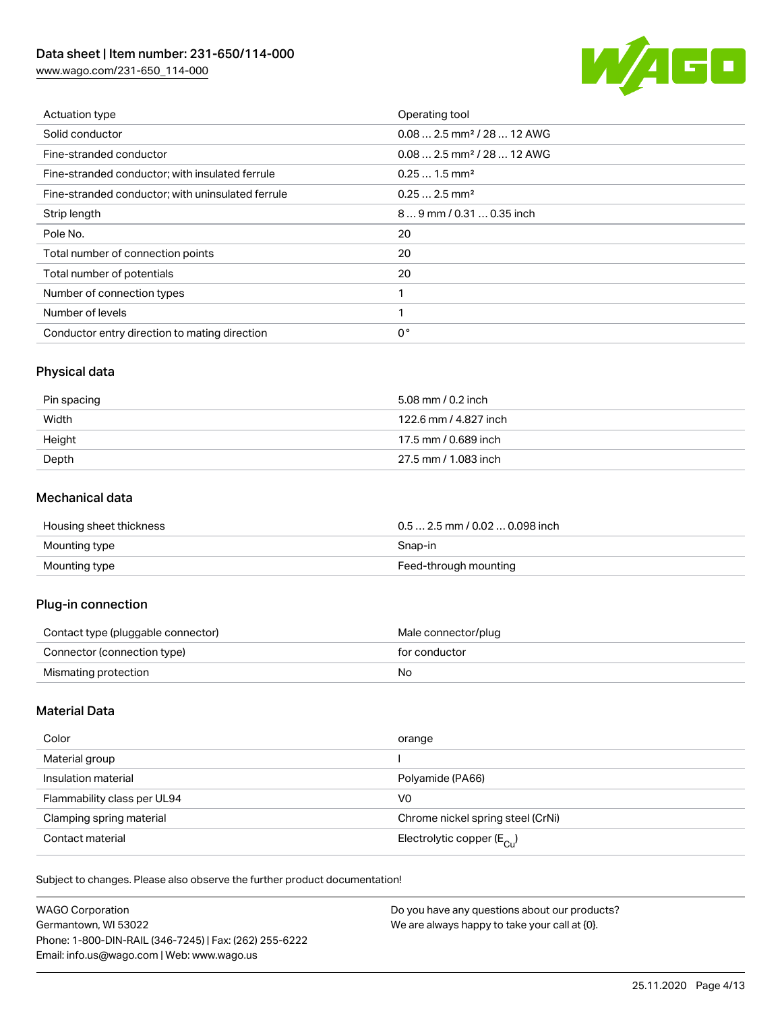[www.wago.com/231-650\\_114-000](http://www.wago.com/231-650_114-000)



| Actuation type                                    | Operating tool                          |
|---------------------------------------------------|-----------------------------------------|
| Solid conductor                                   | $0.08$ 2.5 mm <sup>2</sup> / 28  12 AWG |
| Fine-stranded conductor                           | $0.08$ 2.5 mm <sup>2</sup> / 28  12 AWG |
| Fine-stranded conductor; with insulated ferrule   | $0.251.5$ mm <sup>2</sup>               |
| Fine-stranded conductor; with uninsulated ferrule | $0.252.5$ mm <sup>2</sup>               |
| Strip length                                      | $89$ mm / 0.31 $$ 0.35 inch             |
| Pole No.                                          | 20                                      |
| Total number of connection points                 | 20                                      |
| Total number of potentials                        | 20                                      |
| Number of connection types                        |                                         |
| Number of levels                                  |                                         |
| Conductor entry direction to mating direction     | $0^{\circ}$                             |

## Physical data

| Pin spacing | 5.08 mm / 0.2 inch    |
|-------------|-----------------------|
| Width       | 122.6 mm / 4.827 inch |
| Height      | 17.5 mm / 0.689 inch  |
| Depth       | 27.5 mm / 1.083 inch  |

#### Mechanical data

| Housing sheet thickness | $0.5$ 2.5 mm / 0.02  0.098 inch |
|-------------------------|---------------------------------|
| Mounting type           | Snap-in                         |
| Mounting type           | Feed-through mounting           |

## Plug-in connection

| Contact type (pluggable connector) | Male connector/plug |
|------------------------------------|---------------------|
| Connector (connection type)        | for conductor       |
| Mismating protection               | No                  |

## Material Data

| Color                       | orange                                  |
|-----------------------------|-----------------------------------------|
| Material group              |                                         |
| Insulation material         | Polyamide (PA66)                        |
| Flammability class per UL94 | V0                                      |
| Clamping spring material    | Chrome nickel spring steel (CrNi)       |
| Contact material            | Electrolytic copper ( $E_{\text{Cl}}$ ) |

| <b>WAGO Corporation</b>                                | Do you have any questions about our products? |
|--------------------------------------------------------|-----------------------------------------------|
| Germantown, WI 53022                                   | We are always happy to take your call at {0}. |
| Phone: 1-800-DIN-RAIL (346-7245)   Fax: (262) 255-6222 |                                               |
| Email: info.us@wago.com   Web: www.wago.us             |                                               |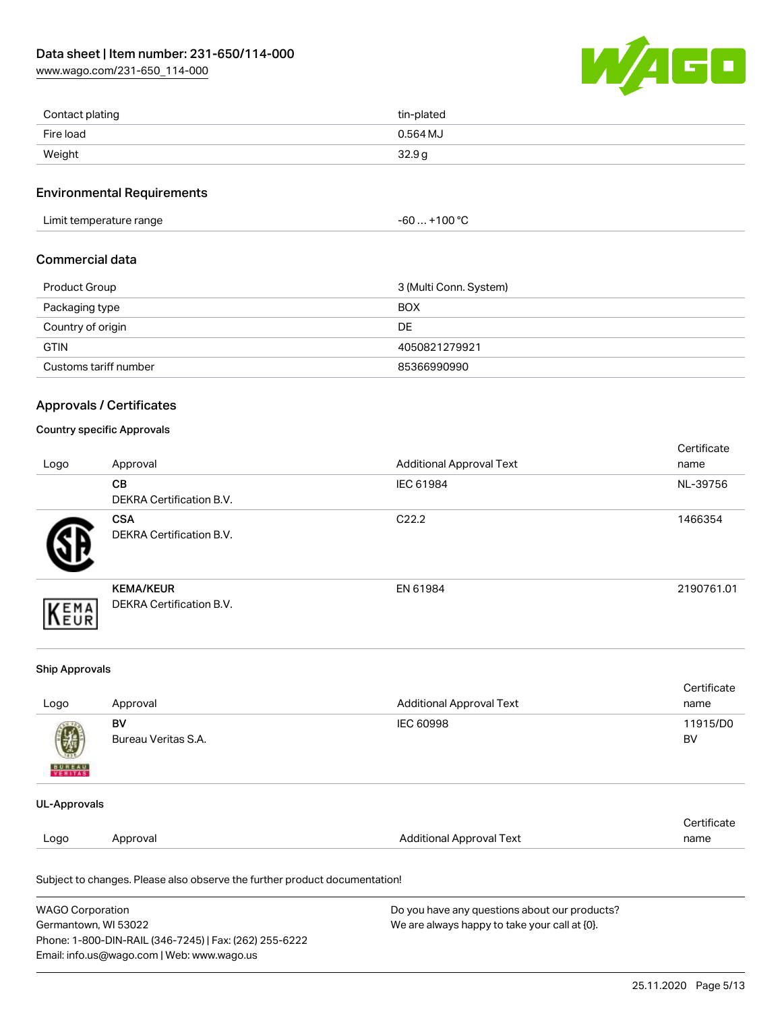[www.wago.com/231-650\\_114-000](http://www.wago.com/231-650_114-000)



| Contact plating | tin-plated |
|-----------------|------------|
| Fire load       | $0.564$ MJ |
| Weight          | 32.9g      |

#### Environmental Requirements

Limit temperature range  $-60... +100 °C$ 

#### Commercial data

| Product Group         | 3 (Multi Conn. System) |
|-----------------------|------------------------|
| Packaging type        | <b>BOX</b>             |
| Country of origin     | DE                     |
| <b>GTIN</b>           | 4050821279921          |
| Customs tariff number | 85366990990            |

#### Approvals / Certificates

#### Country specific Approvals

| Logo | Approval                                            | <b>Additional Approval Text</b> | Certificate<br>name |
|------|-----------------------------------------------------|---------------------------------|---------------------|
|      | <b>CB</b><br><b>DEKRA Certification B.V.</b>        | IEC 61984                       | NL-39756            |
|      | <b>CSA</b><br>DEKRA Certification B.V.              | C <sub>22.2</sub>               | 1466354             |
| EMA  | <b>KEMA/KEUR</b><br><b>DEKRA Certification B.V.</b> | EN 61984                        | 2190761.01          |

#### Ship Approvals

| Logo                          | Approval                  | Additional Approval Text | Certificate<br>name   |
|-------------------------------|---------------------------|--------------------------|-----------------------|
| Ø<br><b>BUREAU</b><br>VERITAS | BV<br>Bureau Veritas S.A. | IEC 60998                | 11915/D0<br><b>BV</b> |
| UL-Approvals                  |                           |                          |                       |

|      |          |                          | `ertificat⊾ |
|------|----------|--------------------------|-------------|
| Logo | Approval | Additional Approval Text | name        |
|      |          |                          |             |

| <b>WAGO Corporation</b>                                | Do you have any questions about our products? |
|--------------------------------------------------------|-----------------------------------------------|
| Germantown, WI 53022                                   | We are always happy to take your call at {0}. |
| Phone: 1-800-DIN-RAIL (346-7245)   Fax: (262) 255-6222 |                                               |
| Email: info.us@wago.com   Web: www.wago.us             |                                               |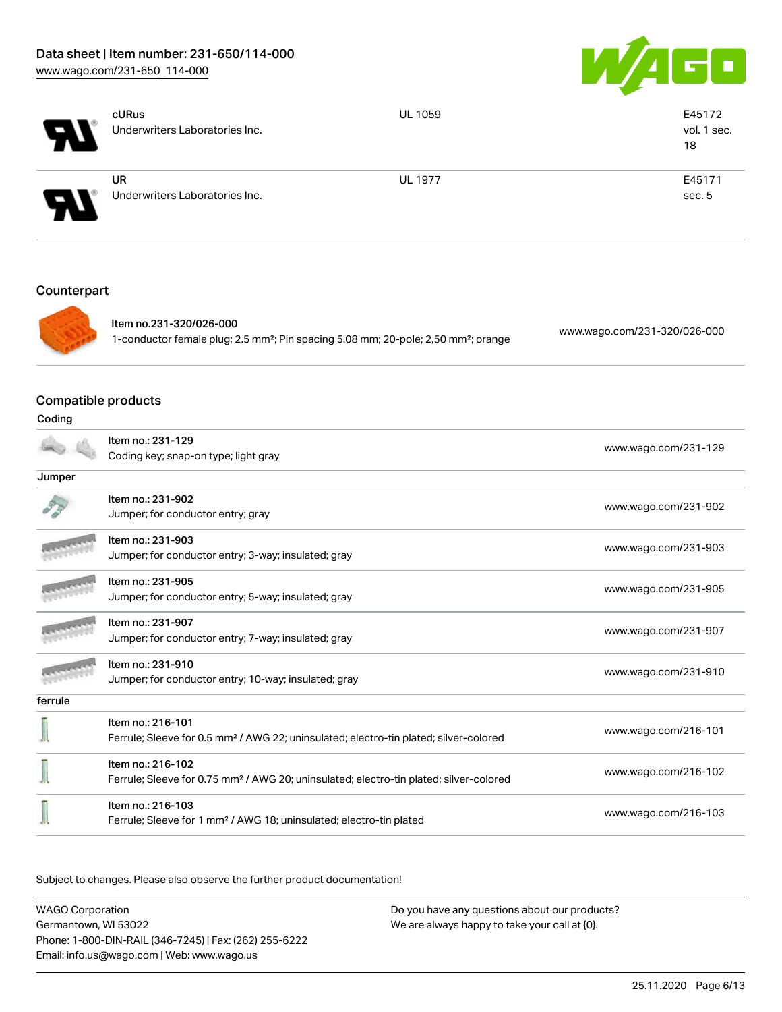

|                               | cURus<br>Underwriters Laboratories Inc.                                                                                               | <b>UL 1059</b> | E45172<br>vol. 1 sec.<br>18  |
|-------------------------------|---------------------------------------------------------------------------------------------------------------------------------------|----------------|------------------------------|
|                               | <b>UR</b><br>Underwriters Laboratories Inc.                                                                                           | <b>UL 1977</b> | E45171<br>sec. 5             |
| Counterpart                   |                                                                                                                                       |                |                              |
|                               | Item no.231-320/026-000<br>1-conductor female plug; 2.5 mm <sup>2</sup> ; Pin spacing 5.08 mm; 20-pole; 2,50 mm <sup>2</sup> ; orange |                | www.wago.com/231-320/026-000 |
| Compatible products<br>Coding |                                                                                                                                       |                |                              |
|                               | Item no.: 231-129<br>Coding key; snap-on type; light gray                                                                             |                | www.wago.com/231-129         |
| Jumper                        |                                                                                                                                       |                |                              |
|                               | Item no.: 231-902<br>Jumper; for conductor entry; gray                                                                                |                | www.wago.com/231-902         |
|                               | Item no.: 231-903<br>Jumper; for conductor entry; 3-way; insulated; gray                                                              |                | www.wago.com/231-903         |
|                               | Item no.: 231-905<br>Jumper; for conductor entry; 5-way; insulated; gray                                                              |                | www.wago.com/231-905         |
|                               | Item no.: 231-907<br>Jumper; for conductor entry; 7-way; insulated; gray                                                              |                | www.wago.com/231-907         |
| <b>Manageria</b>              | Item no.: 231-910<br>Jumper; for conductor entry; 10-way; insulated; gray                                                             |                | www.wago.com/231-910         |
| ferrule                       |                                                                                                                                       |                |                              |
|                               | Item no.: 216-101<br>Ferrule; Sleeve for 0.5 mm <sup>2</sup> / AWG 22; uninsulated; electro-tin plated; silver-colored                |                | www.wago.com/216-101         |
|                               | Item no.: 216-102<br>Ferrule; Sleeve for 0.75 mm <sup>2</sup> / AWG 20; uninsulated; electro-tin plated; silver-colored               |                | www.wago.com/216-102         |
|                               | Item no.: 216-103<br>Ferrule; Sleeve for 1 mm <sup>2</sup> / AWG 18; uninsulated; electro-tin plated                                  |                | www.wago.com/216-103         |

| <b>WAGO Corporation</b>                                | Do you have any questions about our products? |
|--------------------------------------------------------|-----------------------------------------------|
| Germantown, WI 53022                                   | We are always happy to take your call at {0}. |
| Phone: 1-800-DIN-RAIL (346-7245)   Fax: (262) 255-6222 |                                               |
| Email: info.us@wago.com   Web: www.wago.us             |                                               |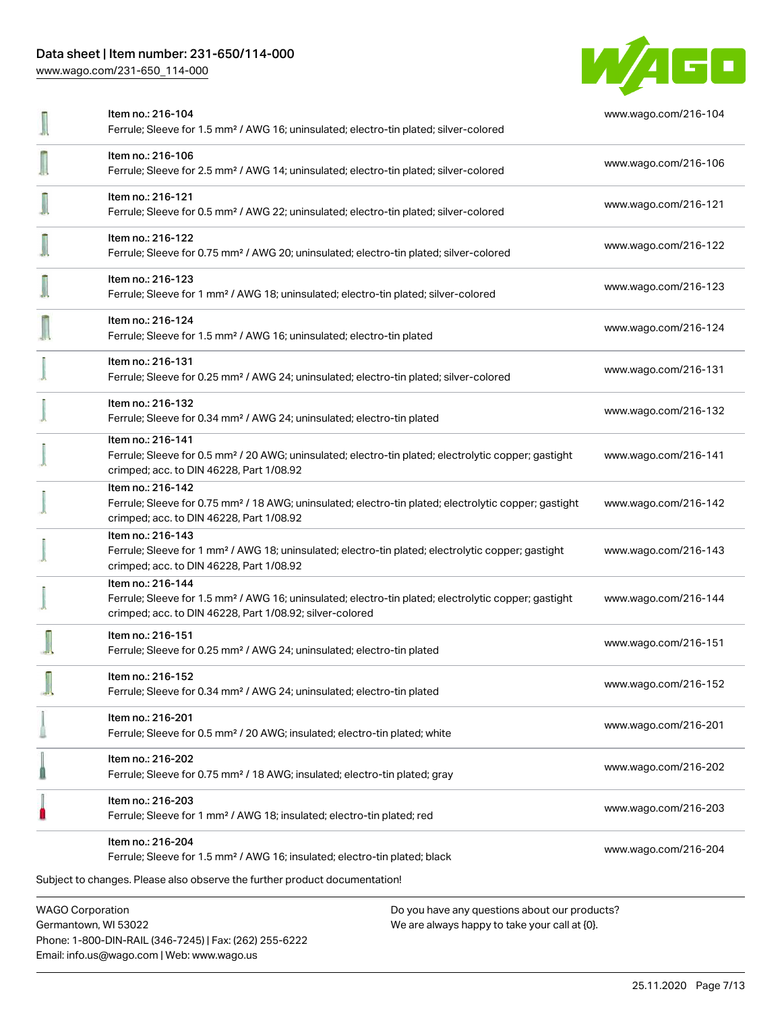Phone: 1-800-DIN-RAIL (346-7245) | Fax: (262) 255-6222

Email: info.us@wago.com | Web: www.wago.us

[www.wago.com/231-650\\_114-000](http://www.wago.com/231-650_114-000)



|                                                 | Item no.: 216-104<br>Ferrule; Sleeve for 1.5 mm <sup>2</sup> / AWG 16; uninsulated; electro-tin plated; silver-colored                                                                            |                                                                                                | www.wago.com/216-104 |
|-------------------------------------------------|---------------------------------------------------------------------------------------------------------------------------------------------------------------------------------------------------|------------------------------------------------------------------------------------------------|----------------------|
|                                                 | Item no.: 216-106<br>Ferrule; Sleeve for 2.5 mm <sup>2</sup> / AWG 14; uninsulated; electro-tin plated; silver-colored                                                                            |                                                                                                | www.wago.com/216-106 |
|                                                 | Item no.: 216-121<br>Ferrule; Sleeve for 0.5 mm <sup>2</sup> / AWG 22; uninsulated; electro-tin plated; silver-colored                                                                            |                                                                                                | www.wago.com/216-121 |
|                                                 | Item no.: 216-122<br>Ferrule; Sleeve for 0.75 mm <sup>2</sup> / AWG 20; uninsulated; electro-tin plated; silver-colored                                                                           |                                                                                                | www.wago.com/216-122 |
|                                                 | Item no.: 216-123<br>Ferrule; Sleeve for 1 mm <sup>2</sup> / AWG 18; uninsulated; electro-tin plated; silver-colored                                                                              |                                                                                                | www.wago.com/216-123 |
|                                                 | Item no.: 216-124<br>Ferrule; Sleeve for 1.5 mm <sup>2</sup> / AWG 16; uninsulated; electro-tin plated                                                                                            |                                                                                                | www.wago.com/216-124 |
|                                                 | Item no.: 216-131<br>Ferrule; Sleeve for 0.25 mm <sup>2</sup> / AWG 24; uninsulated; electro-tin plated; silver-colored                                                                           |                                                                                                | www.wago.com/216-131 |
|                                                 | Item no.: 216-132<br>Ferrule; Sleeve for 0.34 mm <sup>2</sup> / AWG 24; uninsulated; electro-tin plated                                                                                           |                                                                                                | www.wago.com/216-132 |
|                                                 | Item no.: 216-141<br>Ferrule; Sleeve for 0.5 mm <sup>2</sup> / 20 AWG; uninsulated; electro-tin plated; electrolytic copper; gastight<br>crimped; acc. to DIN 46228, Part 1/08.92                 |                                                                                                | www.wago.com/216-141 |
|                                                 | Item no.: 216-142<br>Ferrule; Sleeve for 0.75 mm <sup>2</sup> / 18 AWG; uninsulated; electro-tin plated; electrolytic copper; gastight<br>crimped; acc. to DIN 46228, Part 1/08.92                |                                                                                                | www.wago.com/216-142 |
|                                                 | Item no.: 216-143<br>Ferrule; Sleeve for 1 mm <sup>2</sup> / AWG 18; uninsulated; electro-tin plated; electrolytic copper; gastight<br>crimped; acc. to DIN 46228, Part 1/08.92                   |                                                                                                | www.wago.com/216-143 |
|                                                 | Item no.: 216-144<br>Ferrule; Sleeve for 1.5 mm <sup>2</sup> / AWG 16; uninsulated; electro-tin plated; electrolytic copper; gastight<br>crimped; acc. to DIN 46228, Part 1/08.92; silver-colored |                                                                                                | www.wago.com/216-144 |
|                                                 | Item no.: 216-151<br>Ferrule; Sleeve for 0.25 mm <sup>2</sup> / AWG 24; uninsulated; electro-tin plated                                                                                           |                                                                                                | www.wago.com/216-151 |
|                                                 | Item no.: 216-152<br>Ferrule; Sleeve for 0.34 mm <sup>2</sup> / AWG 24; uninsulated; electro-tin plated                                                                                           |                                                                                                | www.wago.com/216-152 |
|                                                 | Item no.: 216-201<br>Ferrule; Sleeve for 0.5 mm <sup>2</sup> / 20 AWG; insulated; electro-tin plated; white                                                                                       |                                                                                                | www.wago.com/216-201 |
|                                                 | Item no.: 216-202<br>Ferrule; Sleeve for 0.75 mm <sup>2</sup> / 18 AWG; insulated; electro-tin plated; gray                                                                                       |                                                                                                | www.wago.com/216-202 |
|                                                 | Item no.: 216-203<br>Ferrule; Sleeve for 1 mm <sup>2</sup> / AWG 18; insulated; electro-tin plated; red                                                                                           |                                                                                                | www.wago.com/216-203 |
|                                                 | Item no.: 216-204<br>Ferrule; Sleeve for 1.5 mm <sup>2</sup> / AWG 16; insulated; electro-tin plated; black                                                                                       |                                                                                                | www.wago.com/216-204 |
|                                                 | Subject to changes. Please also observe the further product documentation!                                                                                                                        |                                                                                                |                      |
| <b>WAGO Corporation</b><br>Germantown, WI 53022 |                                                                                                                                                                                                   | Do you have any questions about our products?<br>We are always happy to take your call at {0}. |                      |

25.11.2020 Page 7/13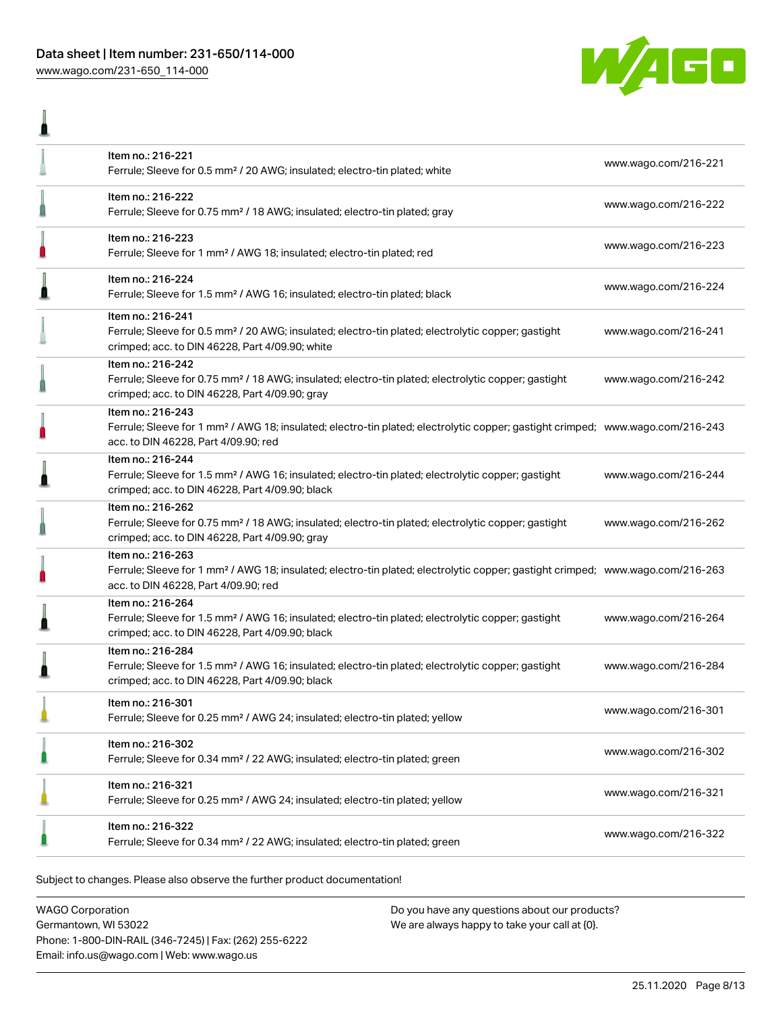l



|   | Item no.: 216-221<br>Ferrule; Sleeve for 0.5 mm <sup>2</sup> / 20 AWG; insulated; electro-tin plated; white                                                                                             | www.wago.com/216-221 |
|---|---------------------------------------------------------------------------------------------------------------------------------------------------------------------------------------------------------|----------------------|
|   | Item no.: 216-222<br>Ferrule; Sleeve for 0.75 mm <sup>2</sup> / 18 AWG; insulated; electro-tin plated; gray                                                                                             | www.wago.com/216-222 |
| П | Item no.: 216-223<br>Ferrule; Sleeve for 1 mm <sup>2</sup> / AWG 18; insulated; electro-tin plated; red                                                                                                 | www.wago.com/216-223 |
|   | Item no.: 216-224<br>Ferrule; Sleeve for 1.5 mm <sup>2</sup> / AWG 16; insulated; electro-tin plated; black                                                                                             | www.wago.com/216-224 |
|   | Item no.: 216-241<br>Ferrule; Sleeve for 0.5 mm <sup>2</sup> / 20 AWG; insulated; electro-tin plated; electrolytic copper; gastight<br>crimped; acc. to DIN 46228, Part 4/09.90; white                  | www.wago.com/216-241 |
|   | Item no.: 216-242<br>Ferrule; Sleeve for 0.75 mm <sup>2</sup> / 18 AWG; insulated; electro-tin plated; electrolytic copper; gastight<br>crimped; acc. to DIN 46228, Part 4/09.90; gray                  | www.wago.com/216-242 |
|   | Item no.: 216-243<br>Ferrule; Sleeve for 1 mm <sup>2</sup> / AWG 18; insulated; electro-tin plated; electrolytic copper; gastight crimped; www.wago.com/216-243<br>acc. to DIN 46228, Part 4/09.90; red |                      |
|   | Item no.: 216-244<br>Ferrule; Sleeve for 1.5 mm <sup>2</sup> / AWG 16; insulated; electro-tin plated; electrolytic copper; gastight<br>crimped; acc. to DIN 46228, Part 4/09.90; black                  | www.wago.com/216-244 |
|   | Item no.: 216-262<br>Ferrule; Sleeve for 0.75 mm <sup>2</sup> / 18 AWG; insulated; electro-tin plated; electrolytic copper; gastight<br>crimped; acc. to DIN 46228, Part 4/09.90; gray                  | www.wago.com/216-262 |
|   | Item no.: 216-263<br>Ferrule; Sleeve for 1 mm <sup>2</sup> / AWG 18; insulated; electro-tin plated; electrolytic copper; gastight crimped; www.wago.com/216-263<br>acc. to DIN 46228, Part 4/09.90; red |                      |
|   | Item no.: 216-264<br>Ferrule; Sleeve for 1.5 mm <sup>2</sup> / AWG 16; insulated; electro-tin plated; electrolytic copper; gastight<br>crimped; acc. to DIN 46228, Part 4/09.90; black                  | www.wago.com/216-264 |
|   | Item no.: 216-284<br>Ferrule; Sleeve for 1.5 mm <sup>2</sup> / AWG 16; insulated; electro-tin plated; electrolytic copper; gastight<br>crimped; acc. to DIN 46228, Part 4/09.90; black                  | www.wago.com/216-284 |
|   | Item no.: 216-301<br>Ferrule; Sleeve for 0.25 mm <sup>2</sup> / AWG 24; insulated; electro-tin plated; yellow                                                                                           | www.wago.com/216-301 |
|   | Item no.: 216-302<br>Ferrule; Sleeve for 0.34 mm <sup>2</sup> / 22 AWG; insulated; electro-tin plated; green                                                                                            | www.wago.com/216-302 |
|   | Item no.: 216-321<br>Ferrule; Sleeve for 0.25 mm <sup>2</sup> / AWG 24; insulated; electro-tin plated; yellow                                                                                           | www.wago.com/216-321 |
|   | Item no.: 216-322<br>Ferrule; Sleeve for 0.34 mm <sup>2</sup> / 22 AWG; insulated; electro-tin plated; green                                                                                            | www.wago.com/216-322 |

.<br>Subject to changes. Please also observe the further product documentation!

WAGO Corporation Germantown, WI 53022 Phone: 1-800-DIN-RAIL (346-7245) | Fax: (262) 255-6222 Email: info.us@wago.com | Web: www.wago.us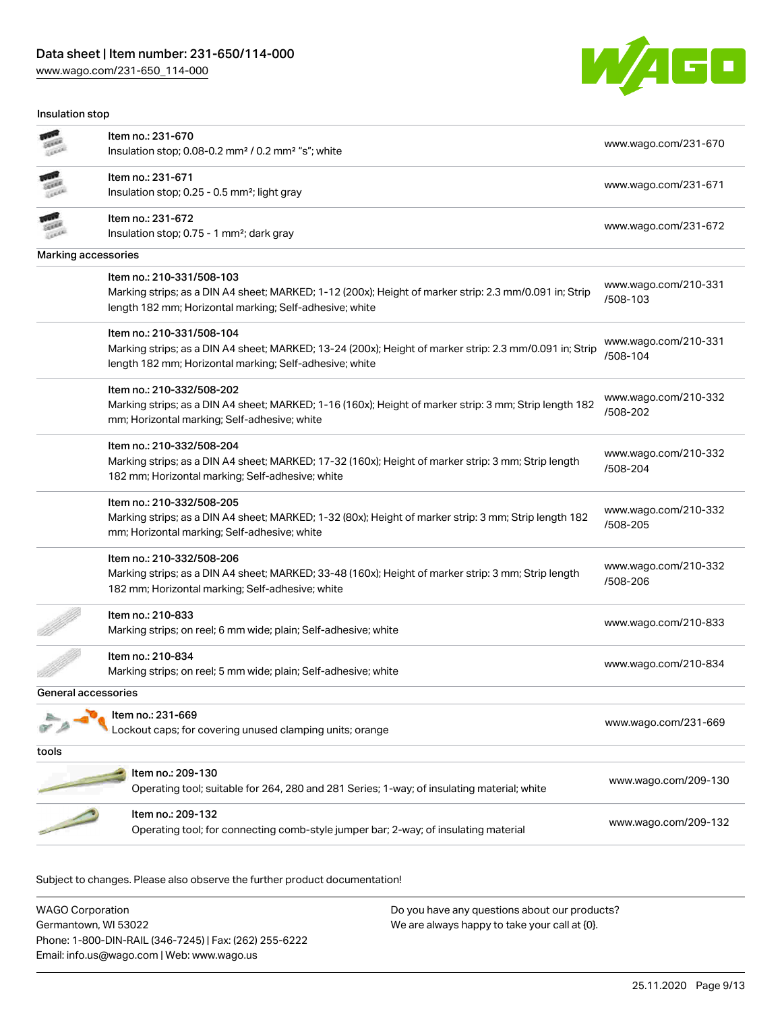[www.wago.com/231-650\\_114-000](http://www.wago.com/231-650_114-000)

Insulation stop



|                     | Item no.: 231-670                                                                                       | www.wago.com/231-670             |
|---------------------|---------------------------------------------------------------------------------------------------------|----------------------------------|
|                     | Insulation stop; 0.08-0.2 mm <sup>2</sup> / 0.2 mm <sup>2</sup> "s"; white                              |                                  |
|                     | Item no.: 231-671                                                                                       |                                  |
|                     | Insulation stop; 0.25 - 0.5 mm <sup>2</sup> ; light gray                                                | www.wago.com/231-671             |
|                     | Item no.: 231-672                                                                                       |                                  |
|                     | Insulation stop; 0.75 - 1 mm <sup>2</sup> ; dark gray                                                   | www.wago.com/231-672             |
| Marking accessories |                                                                                                         |                                  |
|                     | Item no.: 210-331/508-103                                                                               |                                  |
|                     | Marking strips; as a DIN A4 sheet; MARKED; 1-12 (200x); Height of marker strip: 2.3 mm/0.091 in; Strip  | www.wago.com/210-331<br>/508-103 |
|                     | length 182 mm; Horizontal marking; Self-adhesive; white                                                 |                                  |
|                     | Item no.: 210-331/508-104                                                                               |                                  |
|                     | Marking strips; as a DIN A4 sheet; MARKED; 13-24 (200x); Height of marker strip: 2.3 mm/0.091 in; Strip | www.wago.com/210-331<br>/508-104 |
|                     | length 182 mm; Horizontal marking; Self-adhesive; white                                                 |                                  |
|                     | Item no.: 210-332/508-202                                                                               |                                  |
|                     | Marking strips; as a DIN A4 sheet; MARKED; 1-16 (160x); Height of marker strip: 3 mm; Strip length 182  | www.wago.com/210-332<br>/508-202 |
|                     | mm; Horizontal marking; Self-adhesive; white                                                            |                                  |
|                     | Item no.: 210-332/508-204                                                                               |                                  |
|                     | Marking strips; as a DIN A4 sheet; MARKED; 17-32 (160x); Height of marker strip: 3 mm; Strip length     | www.wago.com/210-332             |
|                     | 182 mm; Horizontal marking; Self-adhesive; white                                                        | /508-204                         |
|                     | Item no.: 210-332/508-205                                                                               |                                  |
|                     | Marking strips; as a DIN A4 sheet; MARKED; 1-32 (80x); Height of marker strip: 3 mm; Strip length 182   | www.wago.com/210-332<br>/508-205 |
|                     | mm; Horizontal marking; Self-adhesive; white                                                            |                                  |
|                     | Item no.: 210-332/508-206                                                                               |                                  |
|                     | Marking strips; as a DIN A4 sheet; MARKED; 33-48 (160x); Height of marker strip: 3 mm; Strip length     | www.wago.com/210-332<br>/508-206 |
|                     | 182 mm; Horizontal marking; Self-adhesive; white                                                        |                                  |
|                     | Item no.: 210-833                                                                                       |                                  |
|                     | Marking strips; on reel; 6 mm wide; plain; Self-adhesive; white                                         | www.wago.com/210-833             |
|                     | Item no.: 210-834                                                                                       |                                  |
|                     | Marking strips; on reel; 5 mm wide; plain; Self-adhesive; white                                         | www.wago.com/210-834             |
| General accessories |                                                                                                         |                                  |
|                     | Item no.: 231-669                                                                                       |                                  |
|                     | Lockout caps; for covering unused clamping units; orange                                                | www.wago.com/231-669             |
| tools               |                                                                                                         |                                  |
|                     | Item no.: 209-130                                                                                       |                                  |
|                     | Operating tool; suitable for 264, 280 and 281 Series; 1-way; of insulating material; white              | www.wago.com/209-130             |
|                     | Item no.: 209-132                                                                                       |                                  |
|                     | Operating tool; for connecting comb-style jumper bar; 2-way; of insulating material                     | www.wago.com/209-132             |
|                     |                                                                                                         |                                  |

| <b>WAGO Corporation</b>                                | Do you have any questions about our products? |
|--------------------------------------------------------|-----------------------------------------------|
| Germantown, WI 53022                                   | We are always happy to take your call at {0}. |
| Phone: 1-800-DIN-RAIL (346-7245)   Fax: (262) 255-6222 |                                               |
| Email: info.us@wago.com   Web: www.wago.us             |                                               |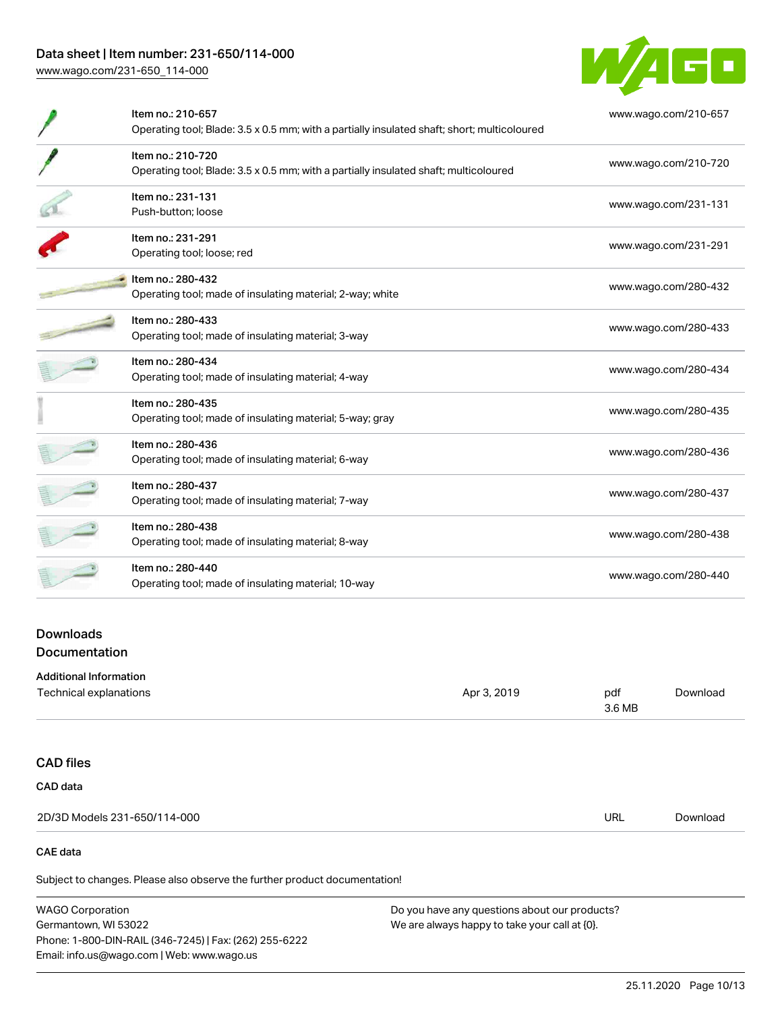[www.wago.com/231-650\\_114-000](http://www.wago.com/231-650_114-000)



| Item no.: 210-657<br>Operating tool; Blade: 3.5 x 0.5 mm; with a partially insulated shaft; short; multicoloured | www.wago.com/210-657 |
|------------------------------------------------------------------------------------------------------------------|----------------------|
| Item no.: 210-720<br>Operating tool; Blade: 3.5 x 0.5 mm; with a partially insulated shaft; multicoloured        | www.wago.com/210-720 |
| Item no.: 231-131<br>Push-button: loose                                                                          | www.wago.com/231-131 |
| Item no.: 231-291<br>Operating tool; loose; red                                                                  | www.wago.com/231-291 |
| Item no.: 280-432<br>Operating tool; made of insulating material; 2-way; white                                   | www.wago.com/280-432 |
| Item no.: 280-433<br>Operating tool; made of insulating material; 3-way                                          | www.wago.com/280-433 |
| Item no.: 280-434<br>Operating tool; made of insulating material; 4-way                                          | www.wago.com/280-434 |
| Item no.: 280-435<br>Operating tool; made of insulating material; 5-way; gray                                    | www.wago.com/280-435 |
| Item no.: 280-436<br>Operating tool; made of insulating material; 6-way                                          | www.wago.com/280-436 |
| Item no.: 280-437<br>Operating tool; made of insulating material; 7-way                                          | www.wago.com/280-437 |
| Item no.: 280-438<br>Operating tool; made of insulating material; 8-way                                          | www.wago.com/280-438 |
| Item no.: 280-440<br>Operating tool; made of insulating material; 10-way                                         | www.wago.com/280-440 |

## Downloads Documentation

| <b>Additional Information</b> |             |               |          |
|-------------------------------|-------------|---------------|----------|
| Technical explanations        | Apr 3, 2019 | pdf<br>3.6 MB | Download |
|                               |             |               |          |
| <b>CAD files</b>              |             |               |          |
| CAD data                      |             |               |          |
| 2D/3D Models 231-650/114-000  |             | <b>URL</b>    | Download |
| CAE data                      |             |               |          |

Subject to changes. Please also observe the further product documentation!

WAGO Corporation Germantown, WI 53022 Phone: 1-800-DIN-RAIL (346-7245) | Fax: (262) 255-6222 Email: info.us@wago.com | Web: www.wago.us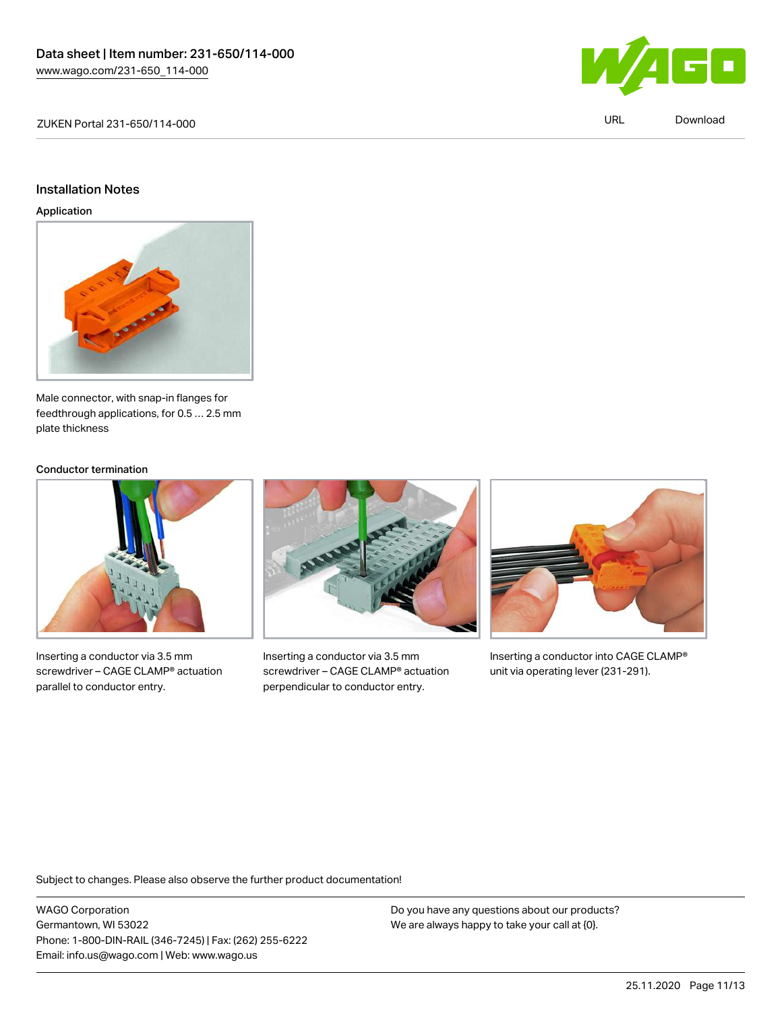

#### Installation Notes

Application



Male connector, with snap-in flanges for feedthrough applications, for 0.5 … 2.5 mm plate thickness

#### Conductor termination



Inserting a conductor via 3.5 mm screwdriver – CAGE CLAMP® actuation parallel to conductor entry.



Inserting a conductor via 3.5 mm screwdriver – CAGE CLAMP® actuation perpendicular to conductor entry.



Inserting a conductor into CAGE CLAMP® unit via operating lever (231-291).

Subject to changes. Please also observe the further product documentation!

WAGO Corporation Germantown, WI 53022 Phone: 1-800-DIN-RAIL (346-7245) | Fax: (262) 255-6222 Email: info.us@wago.com | Web: www.wago.us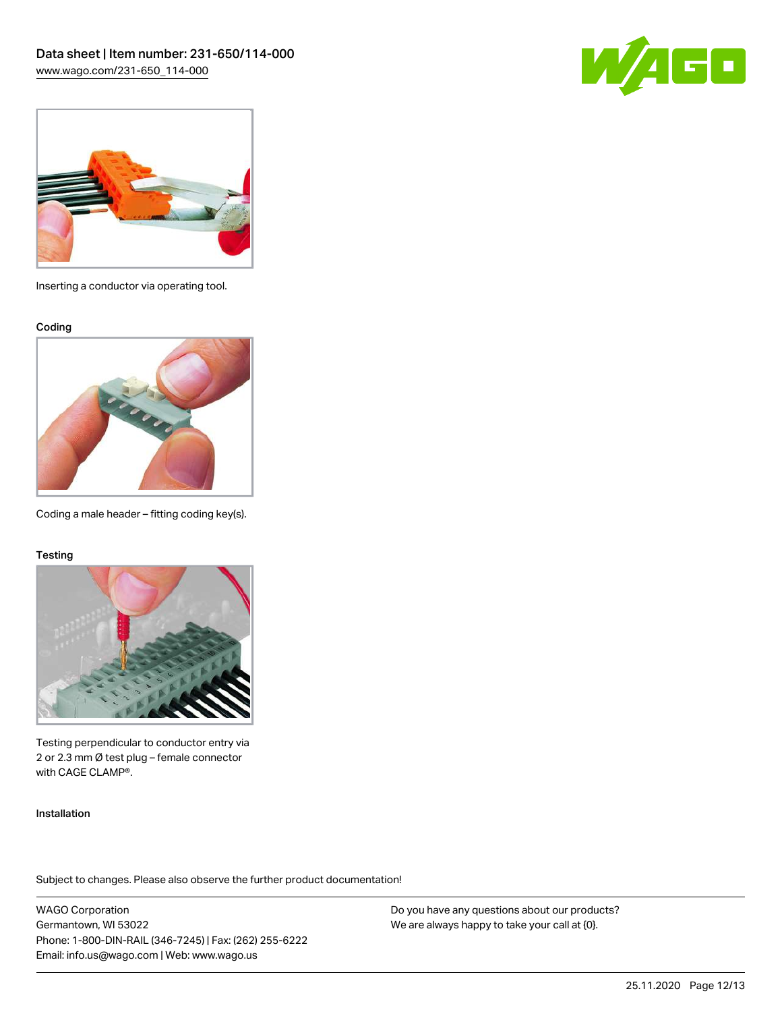



Inserting a conductor via operating tool.

Coding



Coding a male header – fitting coding key(s).

#### **Testing**



Testing perpendicular to conductor entry via 2 or 2.3 mm Ø test plug – female connector with CAGE CLAMP®.

Installation

Subject to changes. Please also observe the further product documentation!

WAGO Corporation Germantown, WI 53022 Phone: 1-800-DIN-RAIL (346-7245) | Fax: (262) 255-6222 Email: info.us@wago.com | Web: www.wago.us